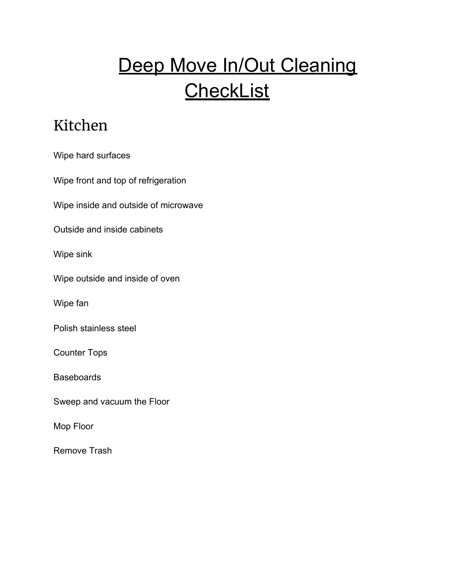# Deep Move In/Out Cleaning **CheckList**

# Kitchen

| Wipe hard surfaces                   |
|--------------------------------------|
| Wipe front and top of refrigeration  |
| Wipe inside and outside of microwave |
| Outside and inside cabinets          |
| Wipe sink                            |
| Wipe outside and inside of oven      |
| Wipe fan                             |
| Polish stainless steel               |
| <b>Counter Tops</b>                  |
| <b>Baseboards</b>                    |
| Sweep and vacuum the Floor           |
| Mop Floor                            |
| <b>Remove Trash</b>                  |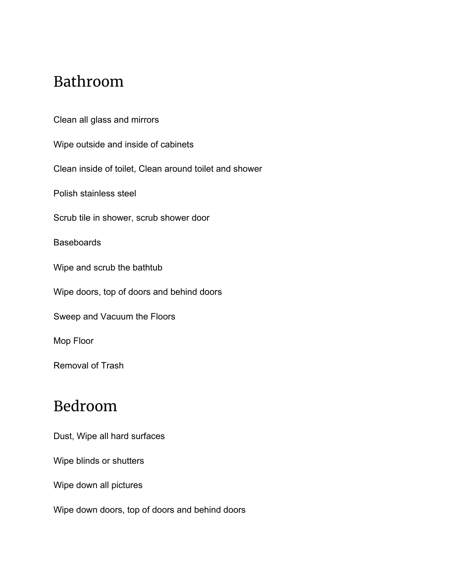### Bathroom

Clean all glass and mirrors

Wipe outside and inside of cabinets

Clean inside of toilet, Clean around toilet and shower

Polish stainless steel

Scrub tile in shower, scrub shower door

**Baseboards** 

Wipe and scrub the bathtub

Wipe doors, top of doors and behind doors

Sweep and Vacuum the Floors

Mop Floor

Removal of Trash

#### Bedroom

Dust, Wipe all hard surfaces

Wipe blinds or shutters

Wipe down all pictures

Wipe down doors, top of doors and behind doors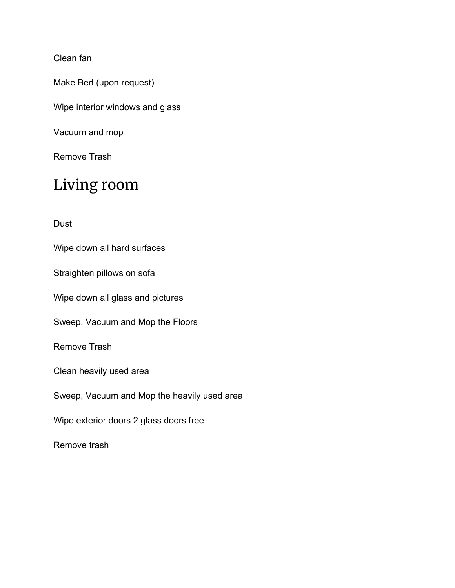Clean fan

Make Bed (upon request)

Wipe interior windows and glass

Vacuum and mop

Remove Trash

#### Living room

Dust

Wipe down all hard surfaces

Straighten pillows on sofa

Wipe down all glass and pictures

Sweep, Vacuum and Mop the Floors

Remove Trash

Clean heavily used area

Sweep, Vacuum and Mop the heavily used area

Wipe exterior doors 2 glass doors free

Remove trash